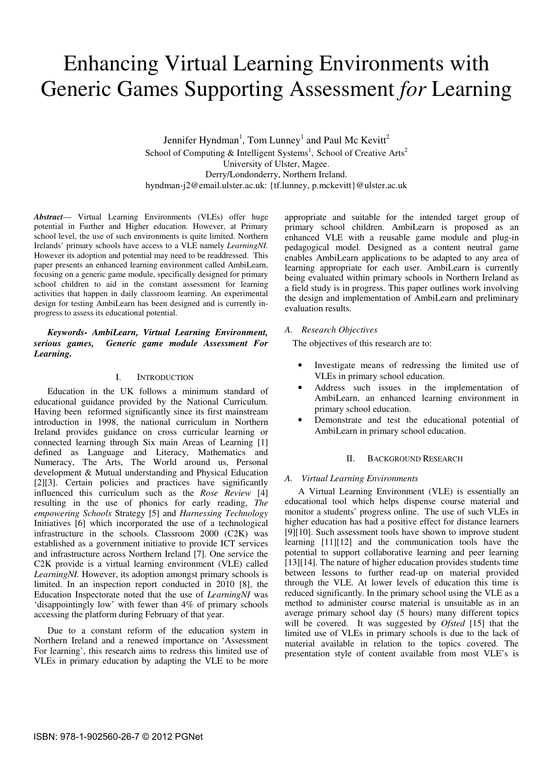# Enhancing Virtual Learning Environments with Generic Games Supporting Assessment *for* Learning

Jennifer Hyndman<sup>1</sup>, Tom Lunney<sup>1</sup> and Paul Mc Kevitt<sup>2</sup> School of Computing & Intelligent Systems<sup>1</sup>, School of Creative Arts<sup>2</sup> University of Ulster, Magee. Derry/Londonderry, Northern Ireland. hyndman-j2@email.ulster.ac.uk: {tf.lunney, p.mckevitt}@ulster.ac.uk

*Abstract*— Virtual Learning Environments (VLEs) offer huge potential in Further and Higher education. However, at Primary school level, the use of such environments is quite limited. Northern Irelands' primary schools have access to a VLE namely *LearningNI.*  However its adoption and potential may need to be readdressed. This paper presents an enhanced learning environment called AmbiLearn, focusing on a generic game module, specifically designed for primary school children to aid in the constant assessment for learning activities that happen in daily classroom learning. An experimental design for testing AmbiLearn has been designed and is currently inprogress to assess its educational potential.

# *Keywords- AmbiLearn, Virtual Learning Environment, serious games, Generic game module Assessment For Learning.*

## I. INTRODUCTION

Education in the UK follows a minimum standard of educational guidance provided by the National Curriculum. Having been reformed significantly since its first mainstream introduction in 1998, the national curriculum in Northern Ireland provides guidance on cross curricular learning or connected learning through Six main Areas of Learning [1] defined as Language and Literacy, Mathematics and Numeracy, The Arts, The World around us, Personal development & Mutual understanding and Physical Education [2][3]. Certain policies and practices have significantly influenced this curriculum such as the *Rose Review* [4] resulting in the use of phonics for early reading, *The empowering Schools* Strategy [5] and *Harnessing Technology* Initiatives [6] which incorporated the use of a technological infrastructure in the schools. Classroom 2000 (C2K) was established as a government initiative to provide ICT services and infrastructure across Northern Ireland [7]. One service the C2K provide is a virtual learning environment (VLE) called *LearningNI*. However, its adoption amongst primary schools is limited. In an inspection report conducted in 2010 [8], the Education Inspectorate noted that the use of *LearningNI* was 'disappointingly low' with fewer than 4% of primary schools accessing the platform during February of that year.

Due to a constant reform of the education system in Northern Ireland and a renewed importance on 'Assessment For learning', this research aims to redress this limited use of VLEs in primary education by adapting the VLE to be more

appropriate and suitable for the intended target group of primary school children. AmbiLearn is proposed as an enhanced VLE with a reusable game module and plug-in pedagogical model. Designed as a content neutral game enables AmbiLearn applications to be adapted to any area of learning appropriate for each user. AmbiLearn is currently being evaluated within primary schools in Northern Ireland as a field study is in progress. This paper outlines work involving the design and implementation of AmbiLearn and preliminary evaluation results.

# *A. Research Objectives*

The objectives of this research are to:

- Investigate means of redressing the limited use of VLEs in primary school education.
- Address such issues in the implementation of AmbiLearn, an enhanced learning environment in primary school education.
- Demonstrate and test the educational potential of AmbiLearn in primary school education.

# II. BACKGROUND RESEARCH

# *A. Virtual Learning Environments*

A Virtual Learning Environment (VLE) is essentially an educational tool which helps dispense course material and monitor a students' progress online. The use of such VLEs in higher education has had a positive effect for distance learners [9][10]. Such assessment tools have shown to improve student learning [11][12] and the communication tools have the potential to support collaborative learning and peer learning [13][14]. The nature of higher education provides students time between lessons to further read-up on material provided through the VLE. At lower levels of education this time is reduced significantly. In the primary school using the VLE as a method to administer course material is unsuitable as in an average primary school day (5 hours) many different topics will be covered. It was suggested by *Ofsted* [15] that the limited use of VLEs in primary schools is due to the lack of material available in relation to the topics covered. The presentation style of content available from most VLE's is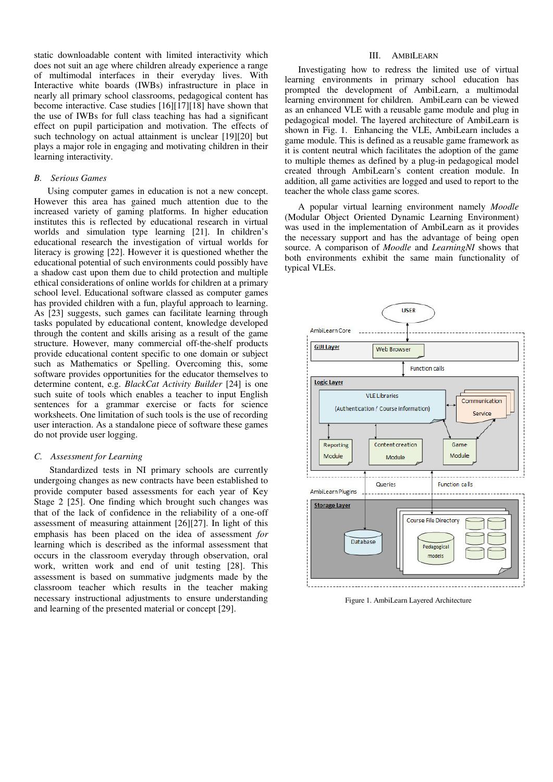static downloadable content with limited interactivity which does not suit an age where children already experience a range of multimodal interfaces in their everyday lives. With Interactive white boards (IWBs) infrastructure in place in nearly all primary school classrooms, pedagogical content has become interactive. Case studies [16][17][18] have shown that the use of IWBs for full class teaching has had a significant effect on pupil participation and motivation. The effects of such technology on actual attainment is unclear [19][20] but plays a major role in engaging and motivating children in their learning interactivity.

# *B. Serious Games*

Using computer games in education is not a new concept. However this area has gained much attention due to the increased variety of gaming platforms. In higher education institutes this is reflected by educational research in virtual worlds and simulation type learning [21]. In children's educational research the investigation of virtual worlds for literacy is growing [22]. However it is questioned whether the educational potential of such environments could possibly have a shadow cast upon them due to child protection and multiple ethical considerations of online worlds for children at a primary school level. Educational software classed as computer games has provided children with a fun, playful approach to learning. As [23] suggests, such games can facilitate learning through tasks populated by educational content, knowledge developed through the content and skills arising as a result of the game structure. However, many commercial off-the-shelf products provide educational content specific to one domain or subject such as Mathematics or Spelling. Overcoming this, some software provides opportunities for the educator themselves to determine content, e.g. *BlackCat Activity Builder* [24] is one such suite of tools which enables a teacher to input English sentences for a grammar exercise or facts for science worksheets. One limitation of such tools is the use of recording user interaction. As a standalone piece of software these games do not provide user logging.

#### *C. Assessment for Learning*

 Standardized tests in NI primary schools are currently undergoing changes as new contracts have been established to provide computer based assessments for each year of Key Stage 2 [25]. One finding which brought such changes was that of the lack of confidence in the reliability of a one-off assessment of measuring attainment [26][27]. In light of this emphasis has been placed on the idea of assessment *for*  learning which is described as the informal assessment that occurs in the classroom everyday through observation, oral work, written work and end of unit testing [28]. This assessment is based on summative judgments made by the classroom teacher which results in the teacher making necessary instructional adjustments to ensure understanding and learning of the presented material or concept [29].

# III. AMBILEARN

Investigating how to redress the limited use of virtual learning environments in primary school education has prompted the development of AmbiLearn, a multimodal learning environment for children. AmbiLearn can be viewed as an enhanced VLE with a reusable game module and plug in pedagogical model. The layered architecture of AmbiLearn is shown in Fig. 1. Enhancing the VLE, AmbiLearn includes a game module. This is defined as a reusable game framework as it is content neutral which facilitates the adoption of the game to multiple themes as defined by a plug-in pedagogical model created through AmbiLearn's content creation module. In addition, all game activities are logged and used to report to the teacher the whole class game scores.

A popular virtual learning environment namely *Moodle* (Modular Object Oriented Dynamic Learning Environment) was used in the implementation of AmbiLearn as it provides the necessary support and has the advantage of being open source. A comparison of *Moodle* and *LearningNI* shows that both environments exhibit the same main functionality of typical VLEs.



Figure 1. AmbiLearn Layered Architecture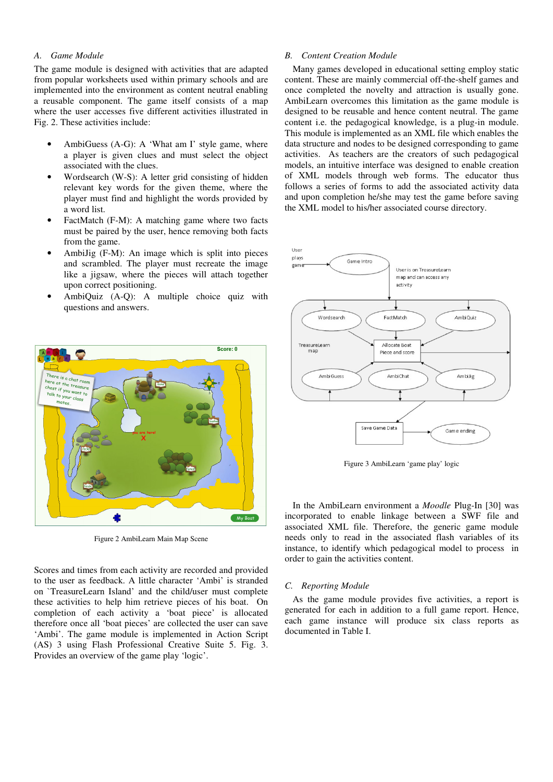# *A. Game Module*

The game module is designed with activities that are adapted from popular worksheets used within primary schools and are implemented into the environment as content neutral enabling a reusable component. The game itself consists of a map where the user accesses five different activities illustrated in Fig. 2. These activities include:

- AmbiGuess (A-G): A 'What am I' style game, where a player is given clues and must select the object associated with the clues.
- Wordsearch (W-S): A letter grid consisting of hidden relevant key words for the given theme, where the player must find and highlight the words provided by a word list.
- FactMatch (F-M): A matching game where two facts must be paired by the user, hence removing both facts from the game.
- AmbiJig (F-M): An image which is split into pieces and scrambled. The player must recreate the image like a jigsaw, where the pieces will attach together upon correct positioning.
- AmbiQuiz (A-Q): A multiple choice quiz with questions and answers.



Figure 2 AmbiLearn Main Map Scene

Scores and times from each activity are recorded and provided to the user as feedback. A little character 'Ambi' is stranded on `TreasureLearn Island' and the child/user must complete these activities to help him retrieve pieces of his boat. On completion of each activity a 'boat piece' is allocated therefore once all 'boat pieces' are collected the user can save 'Ambi'. The game module is implemented in Action Script (AS) 3 using Flash Professional Creative Suite 5. Fig. 3. Provides an overview of the game play 'logic'.

# *B. Content Creation Module*

Many games developed in educational setting employ static content. These are mainly commercial off-the-shelf games and once completed the novelty and attraction is usually gone. AmbiLearn overcomes this limitation as the game module is designed to be reusable and hence content neutral. The game content i.e. the pedagogical knowledge, is a plug-in module. This module is implemented as an XML file which enables the data structure and nodes to be designed corresponding to game activities. As teachers are the creators of such pedagogical models, an intuitive interface was designed to enable creation of XML models through web forms. The educator thus follows a series of forms to add the associated activity data and upon completion he/she may test the game before saving the XML model to his/her associated course directory.



Figure 3 AmbiLearn 'game play' logic

In the AmbiLearn environment a *Moodle* Plug-In [30] was incorporated to enable linkage between a SWF file and associated XML file. Therefore, the generic game module needs only to read in the associated flash variables of its instance, to identify which pedagogical model to process in order to gain the activities content.

#### *C. Reporting Module*

As the game module provides five activities, a report is generated for each in addition to a full game report. Hence, each game instance will produce six class reports as documented in Table I.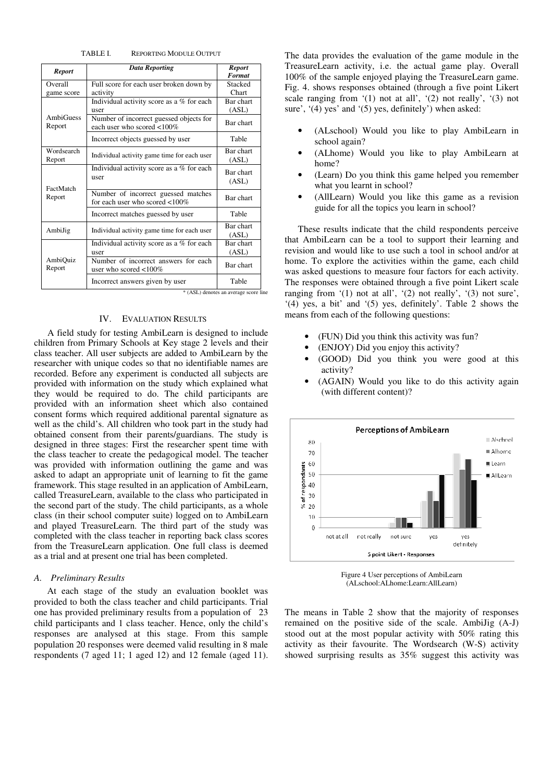TABLE I. REPORTING MODULE OUTPUT

| <b>Report</b>              | <b>Data Reporting</b>                                                    | <b>Report</b><br><b>Format</b>                 |
|----------------------------|--------------------------------------------------------------------------|------------------------------------------------|
| Overall<br>game score      | Full score for each user broken down by<br>activity                      | Stacked<br>Chart                               |
| <b>AmbiGuess</b><br>Report | Individual activity score as a % for each<br>user                        | Bar chart<br>(ASL)                             |
|                            | Number of incorrect guessed objects for<br>each user who scored <100%    | Bar chart                                      |
|                            | Incorrect objects guessed by user                                        | Table                                          |
| Wordsearch<br>Report       | Individual activity game time for each user                              | Bar chart<br>(ASL)                             |
| FactMatch<br>Report        | Individual activity score as a % for each<br>user                        | Bar chart<br>(ASL)                             |
|                            | Number of incorrect guessed matches<br>for each user who scored $<100\%$ | Bar chart                                      |
|                            | Incorrect matches guessed by user                                        | Table                                          |
| AmbiJig                    | Individual activity game time for each user                              | Bar chart<br>(ASL)                             |
| AmbiQuiz<br>Report         | Individual activity score as a % for each<br>user                        | Bar chart<br>(ASL)                             |
|                            | Number of incorrect answers for each<br>user who scored $<100\%$         | Bar chart                                      |
|                            | Incorrect answers given by user                                          | Table<br>* (ASL) denotes an average score line |

# IV. EVALUATION RESULTS

A field study for testing AmbiLearn is designed to include children from Primary Schools at Key stage 2 levels and their class teacher. All user subjects are added to AmbiLearn by the researcher with unique codes so that no identifiable names are recorded. Before any experiment is conducted all subjects are provided with information on the study which explained what they would be required to do. The child participants are provided with an information sheet which also contained consent forms which required additional parental signature as well as the child's. All children who took part in the study had obtained consent from their parents/guardians. The study is designed in three stages: First the researcher spent time with the class teacher to create the pedagogical model. The teacher was provided with information outlining the game and was asked to adapt an appropriate unit of learning to fit the game framework. This stage resulted in an application of AmbiLearn, called TreasureLearn, available to the class who participated in the second part of the study. The child participants, as a whole class (in their school computer suite) logged on to AmbiLearn and played TreasureLearn. The third part of the study was completed with the class teacher in reporting back class scores from the TreasureLearn application. One full class is deemed as a trial and at present one trial has been completed.

#### *A. Preliminary Results*

At each stage of the study an evaluation booklet was provided to both the class teacher and child participants. Trial one has provided preliminary results from a population of 23 child participants and 1 class teacher. Hence, only the child's responses are analysed at this stage. From this sample population 20 responses were deemed valid resulting in 8 male respondents (7 aged 11; 1 aged 12) and 12 female (aged 11).

The data provides the evaluation of the game module in the TreasureLearn activity, i.e. the actual game play. Overall 100% of the sample enjoyed playing the TreasureLearn game. Fig. 4. shows responses obtained (through a five point Likert scale ranging from  $(1)$  not at all',  $(2)$  not really',  $(3)$  not sure', '(4) yes' and '(5) yes, definitely') when asked:

- (ALschool) Would you like to play AmbiLearn in school again?
- (ALhome) Would you like to play AmbiLearn at home?
- (Learn) Do you think this game helped you remember what you learnt in school?
- (AllLearn) Would you like this game as a revision guide for all the topics you learn in school?

These results indicate that the child respondents perceive that AmbiLearn can be a tool to support their learning and revision and would like to use such a tool in school and/or at home. To explore the activities within the game, each child was asked questions to measure four factors for each activity. The responses were obtained through a five point Likert scale ranging from '(1) not at all', '(2) not really', '(3) not sure', '(4) yes, a bit' and '(5) yes, definitely'. Table 2 shows the means from each of the following questions:

- (FUN) Did you think this activity was fun?
- (ENJOY) Did you enjoy this activity?
- (GOOD) Did you think you were good at this activity?
- (AGAIN) Would you like to do this activity again (with different content)?



Figure 4 User perceptions of AmbiLearn (ALschool:ALhome:Learn:AllLearn)

The means in Table 2 show that the majority of responses remained on the positive side of the scale. AmbiJig (A-J) stood out at the most popular activity with 50% rating this activity as their favourite. The Wordsearch (W-S) activity showed surprising results as 35% suggest this activity was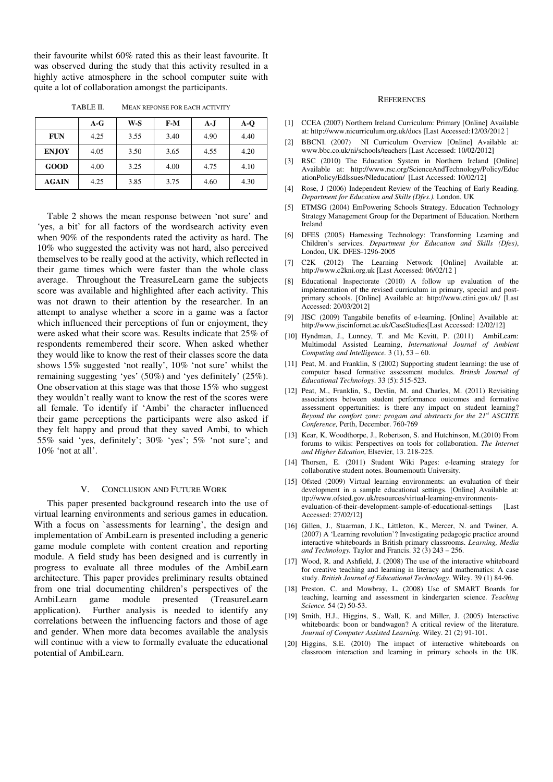their favourite whilst 60% rated this as their least favourite. It was observed during the study that this activity resulted in a highly active atmosphere in the school computer suite with quite a lot of collaboration amongst the participants.

| TABLE II. | <b>MEAN REPONSE FOR EACH ACTIVITY</b> |
|-----------|---------------------------------------|
|           |                                       |

|              | A-G  | W-S  | $F-M$ | A-J  | $A-O$ |
|--------------|------|------|-------|------|-------|
| <b>FUN</b>   | 4.25 | 3.55 | 3.40  | 4.90 | 4.40  |
| <b>ENJOY</b> | 4.05 | 3.50 | 3.65  | 4.55 | 4.20  |
| <b>GOOD</b>  | 4.00 | 3.25 | 4.00  | 4.75 | 4.10  |
| <b>AGAIN</b> | 4.25 | 3.85 | 3.75  | 4.60 | 4.30  |

Table 2 shows the mean response between 'not sure' and 'yes, a bit' for all factors of the wordsearch activity even when 90% of the respondents rated the activity as hard. The 10% who suggested the activity was not hard, also perceived themselves to be really good at the activity, which reflected in their game times which were faster than the whole class average. Throughout the TreasureLearn game the subjects score was available and highlighted after each activity. This was not drawn to their attention by the researcher. In an attempt to analyse whether a score in a game was a factor which influenced their perceptions of fun or enjoyment, they were asked what their score was. Results indicate that 25% of respondents remembered their score. When asked whether they would like to know the rest of their classes score the data shows 15% suggested 'not really', 10% 'not sure' whilst the remaining suggesting 'yes' (50%) and 'yes definitely' (25%). One observation at this stage was that those 15% who suggest they wouldn't really want to know the rest of the scores were all female. To identify if 'Ambi' the character influenced their game perceptions the participants were also asked if they felt happy and proud that they saved Ambi, to which 55% said 'yes, definitely'; 30% 'yes'; 5% 'not sure'; and 10% 'not at all'.

### V. CONCLUSION AND FUTURE WORK

This paper presented background research into the use of virtual learning environments and serious games in education. With a focus on `assessments for learning', the design and implementation of AmbiLearn is presented including a generic game module complete with content creation and reporting module. A field study has been designed and is currently in progress to evaluate all three modules of the AmbiLearn architecture. This paper provides preliminary results obtained from one trial documenting children's perspectives of the AmbiLearn game module presented (TreasureLearn application). Further analysis is needed to identify any correlations between the influencing factors and those of age and gender. When more data becomes available the analysis will continue with a view to formally evaluate the educational potential of AmbiLearn.

### **REFERENCES**

- [1] CCEA (2007) Northern Ireland Curriculum: Primary [Online] Available at: http://www.nicurriculum.org.uk/docs [Last Accessed:12/03/2012 ]
- [2] BBCNI. (2007) NI Curriculum Overview [Online] Available at: www.bbc.co.uk/ni/schools/teachers [Last Accessed: 10/02/2012]
- [3] RSC (2010) The Education System in Northern Ireland [Online] Available at: http://www.rsc.org/ScienceAndTechnology/Policy/Educ ationPolicy/EdIssues/NIeducation/ [Last Accessed: 10/02/12]
- [4] Rose, J (2006) Independent Review of the Teaching of Early Reading. *Department for Education and Skills (Dfes.).* London, UK
- [5] ETMSG (2004) EmPowering Schools Strategy. Education Technology Strategy Management Group for the Department of Education. Northern Ireland
- [6] DFES (2005) Harnessing Technology: Transforming Learning and Children's services. *Department for Education and Skills (Dfes)*, London, UK. DFES-1296-2005
- [7] C2K (2012) The Learning Network [Online] Available at: http://www.c2kni.org.uk [Last Accessed: 06/02/12 ]
- [8] Educational Inspectorate (2010) A follow up evaluation of the implementation of the revised curriculum in primary, special and postprimary schools. [Online] Available at: http://www.etini.gov.uk/ [Last Accessed: 20/03/2012]
- [9] JISC (2009) Tangabile benefits of e-learning. [Online] Available at: http://www.jiscinfornet.ac.uk/CaseStudies[Last Accessed: 12/02/12]
- [10] Hyndman, J., Lunney, T. and Mc Kevitt, P. (2011) AmbiLearn: Multimodal Assisted Learning, *International Journal of Ambient Computing and Intelligence.*  $3 \overline{1}$ ,  $53 - 60$ .
- [11] Peat, M. and Franklin, S (2002) Supporting student learning: the use of computer based formative assessment modules. *British Journal of Educational Technology.* 33 (5): 515-523.
- [12] Peat, M., Franklin, S., Devlin, M. and Charles, M. (2011) Revisiting associations between student performance outcomes and formative assessment oppertunities: is there any impact on student learning? *Beyond the comfort zone: progam and abstracts for the 21st ASCIITE Conference,* Perth, December. 760-769
- [13] Kear, K, Woodthorpe, J., Robertson, S. and Hutchinson, M.(2010) From forums to wikis: Perspectives on tools for collaboration. *The Internet and Higher Edcation,* Elsevier, 13. 218-225.
- [14] Thorsen, E. (2011) Student Wiki Pages: e-learning strategy for collaborative student notes. Bournemouth University.
- [15] Ofsted (2009) Virtual learning environments: an evaluation of their development in a sample educational settings. [Online] Available at: ttp://www.ofsted.gov.uk/resources/virtual-learning-environmentsevaluation-of-their-development-sample-of-educational-settings [Last Accessed: 27/02/12]
- [16] Gillen, J., Staarman, J.K., Littleton, K., Mercer, N. and Twiner, A. (2007) A 'Learning revolution'? Investigating pedagogic practice around interactive whiteboards in British primary classrooms. *Learning, Media and Technology.* Taylor and Francis. 32 (3) 243 – 256.
- [17] Wood, R. and Ashfield, J. (2008) The use of the interactive whiteboard for creative teaching and learning in literacy and mathematics: A case study. *British Journal of Educational Technology*. Wiley. 39 (1) 84-96.
- [18] Preston, C. and Mowbray, L. (2008) Use of SMART Boards for teaching, learning and assessment in kindergarten science. *Teaching Science.* 54 (2) 50-53.
- [19] Smith, H.J., Higgins, S., Wall, K. and Miller, J. (2005) Interactive whiteboards: boon or bandwagon? A critical review of the literature. *Journal of Computer Assisted Learning.* Wiley. 21 (2) 91-101.
- [20] Higgins, S.E. (2010) The impact of interactive whiteboards on classroom interaction and learning in primary schools in the UK*.*